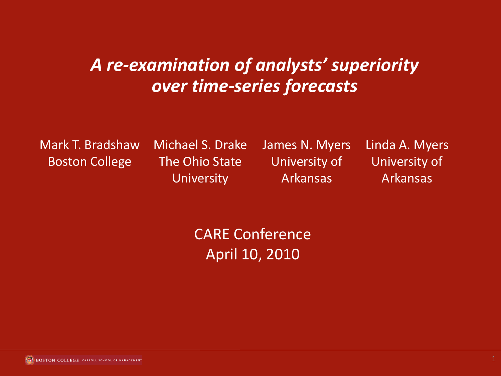#### *A re-examination of analysts' superiority over time-series forecasts*

Mark T. Bradshaw Boston College

Michael S. Drake The Ohio State **University** 

James N. Myers University of Arkansas

Linda A. Myers University of Arkansas

CARE Conference April 10, 2010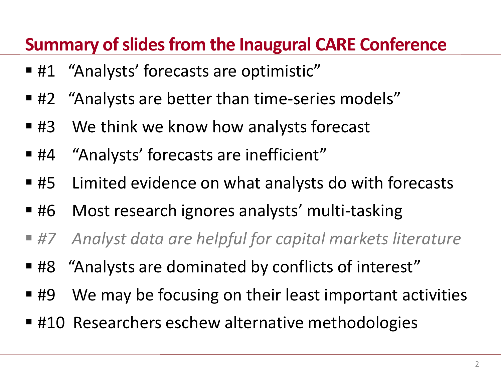#### **Summary of slides from the Inaugural CARE Conference**

- #1 "Analysts' forecasts are optimistic"
- #2 "Analysts are better than time-series models"
- #3 We think we know how analysts forecast
- #4 "Analysts' forecasts are inefficient"
- #5 Limited evidence on what analysts do with forecasts
- #6 Most research ignores analysts' multi-tasking
- *#7 Analyst data are helpful for capital markets literature*
- #8 "Analysts are dominated by conflicts of interest"
- #9 We may be focusing on their least important activities
- #10 Researchers eschew alternative methodologies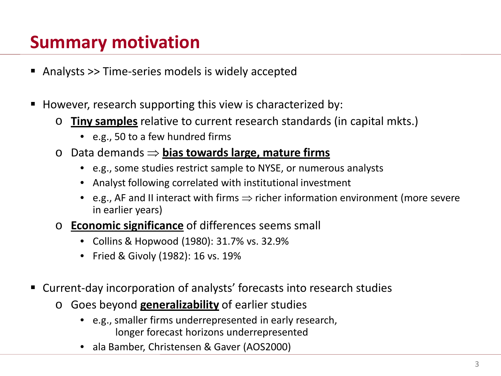# **Summary motivation**

- Analysts >> Time-series models is widely accepted
- However, research supporting this view is characterized by:
	- o **Tiny samples** relative to current research standards (in capital mkts.)
		- e.g., 50 to a few hundred firms
	- o Data demands ⇒ **bias towards large, mature firms**
		- e.g., some studies restrict sample to NYSE, or numerous analysts
		- Analyst following correlated with institutional investment
		- e.g., AF and II interact with firms ⇒ richer information environment (more severe in earlier years)
	- o **Economic significance** of differences seems small
		- Collins & Hopwood (1980): 31.7% vs. 32.9%
		- Fried & Givoly (1982): 16 vs. 19%
- Current-day incorporation of analysts' forecasts into research studies
	- o Goes beyond **generalizability** of earlier studies
		- e.g., smaller firms underrepresented in early research, longer forecast horizons underrepresented
		- ala Bamber, Christensen & Gaver (AOS2000)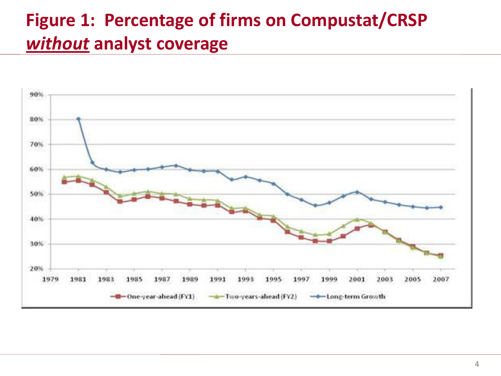# **Figure 1: Percentage of firms on Compustat/CRSP**  *without* **analyst coverage**

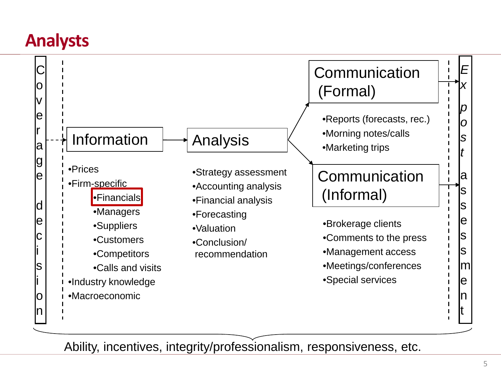### **Analysts**



Ability, incentives, integrity/professionalism, responsiveness, etc.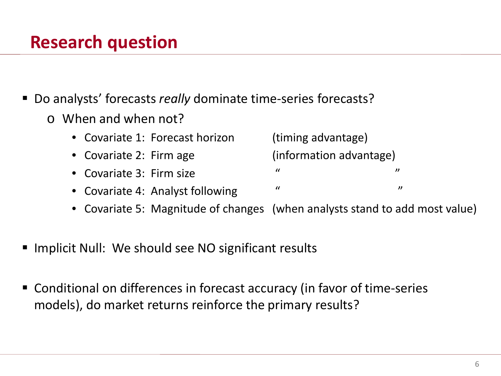## **Research question**

■ Do analysts' forecasts *really* dominate time-series forecasts?

- o When and when not?
	- Covariate 1: Forecast horizon (timing advantage)
	- Covariate 2: Firm age (information advantage)
	- Covariate 3: Firm size " " "
	- Covariate 4: Analyst following  $\blacksquare$  "
	- Covariate 5: Magnitude of changes (when analysts stand to add most value)
- Implicit Null: We should see NO significant results
- Conditional on differences in forecast accuracy (in favor of time-series models), do market returns reinforce the primary results?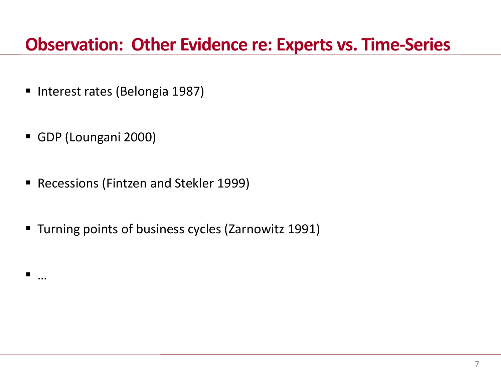#### **Observation: Other Evidence re: Experts vs. Time-Series**

- Interest rates (Belongia 1987)
- GDP (Loungani 2000)

—<br>……

- Recessions (Fintzen and Stekler 1999)
- **Turning points of business cycles (Zarnowitz 1991)**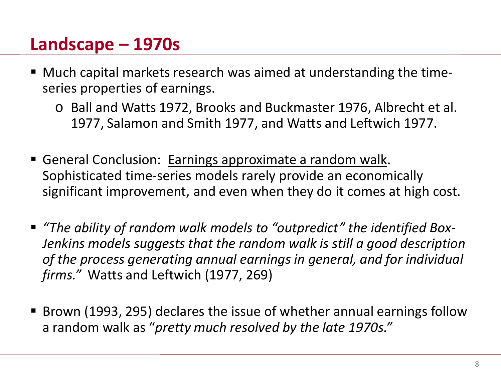### **Landscape – 1970s**

- Much capital markets research was aimed at understanding the timeseries properties of earnings.
	- o Ball and Watts 1972, Brooks and Buckmaster 1976, Albrecht et al. 1977, Salamon and Smith 1977, and Watts and Leftwich 1977.
- General Conclusion: Earnings approximate a random walk. Sophisticated time-series models rarely provide an economically significant improvement, and even when they do it comes at high cost.
- *"The ability of random walk models to "outpredict" the identified Box-Jenkins models suggests that the random walk is still a good description of the process generating annual earnings in general, and for individual firms."* Watts and Leftwich (1977, 269)
- Brown (1993, 295) declares the issue of whether annual earnings follow a random walk as "*pretty much resolved by the late 1970s."*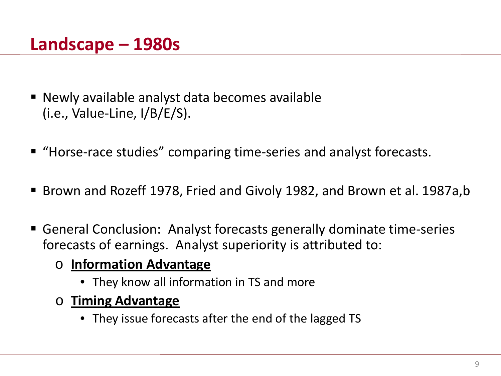#### **Landscape – 1980s**

- Newly available analyst data becomes available (i.e., Value-Line, I/B/E/S).
- "Horse-race studies" comparing time-series and analyst forecasts.
- Brown and Rozeff 1978, Fried and Givoly 1982, and Brown et al. 1987a, b
- General Conclusion: Analyst forecasts generally dominate time-series forecasts of earnings. Analyst superiority is attributed to:
	- o **Information Advantage** 
		- They know all information in TS and more
	- o **Timing Advantage**
		- They issue forecasts after the end of the lagged TS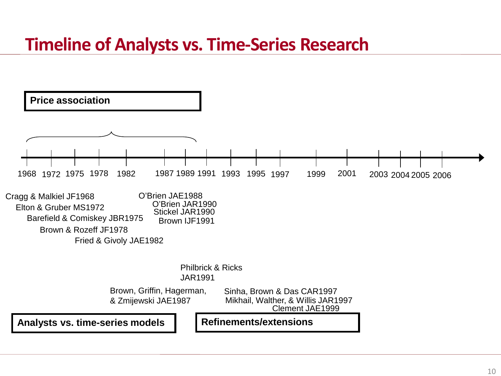#### **Timeline of Analysts vs. Time-Series Research**

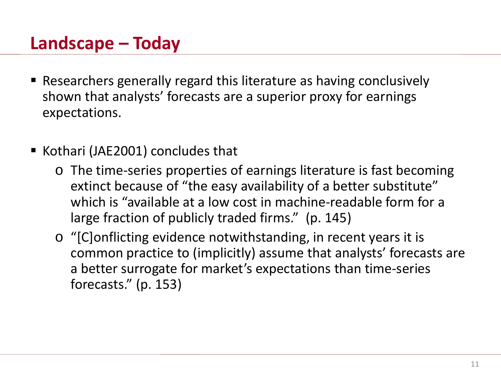### **Landscape – Today**

- Researchers generally regard this literature as having conclusively shown that analysts' forecasts are a superior proxy for earnings expectations.
- Kothari (JAE2001) concludes that
	- o The time-series properties of earnings literature is fast becoming extinct because of "the easy availability of a better substitute" which is "available at a low cost in machine-readable form for a large fraction of publicly traded firms." (p. 145)
	- o "[C]onflicting evidence notwithstanding, in recent years it is common practice to (implicitly) assume that analysts' forecasts are a better surrogate for market's expectations than time-series forecasts." (p. 153)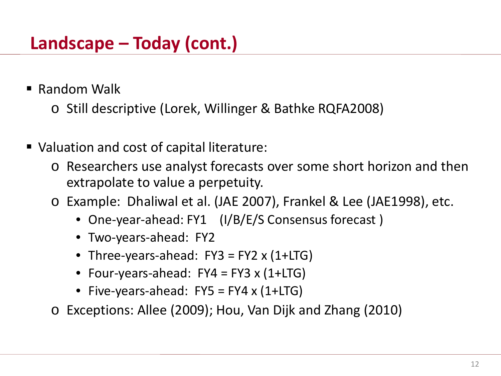■ Random Walk

o Still descriptive (Lorek, Willinger & Bathke RQFA2008)

- Valuation and cost of capital literature:
	- o Researchers use analyst forecasts over some short horizon and then extrapolate to value a perpetuity.
	- o Example: Dhaliwal et al. (JAE 2007), Frankel & Lee (JAE1998), etc.
		- One-year-ahead: FY1 (I/B/E/S Consensus forecast)
		- Two-years-ahead: FY2
		- Three-years-ahead:  $FY3 = FY2 \times (1+LTG)$
		- Four-years-ahead:  $FY4 = FY3 \times (1+LTG)$
		- Five-years-ahead:  $FY5 = FY4 \times (1+LTG)$
	- o Exceptions: Allee (2009); Hou, Van Dijk and Zhang (2010)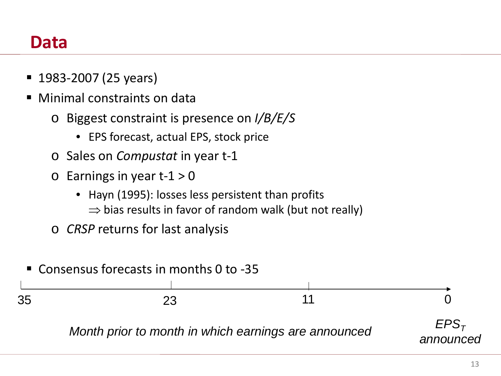#### **Data**

- 1983-2007 (25 years)
- Minimal constraints on data
	- o Biggest constraint is presence on *I/B/E/S*
		- EPS forecast, actual EPS, stock price
	- o Sales on *Compustat* in year t-1
	- $\circ$  Earnings in year t-1 > 0
		- Hayn (1995): losses less persistent than profits
			- $\Rightarrow$  bias results in favor of random walk (but not really)
	- o *CRSP* returns for last analysis

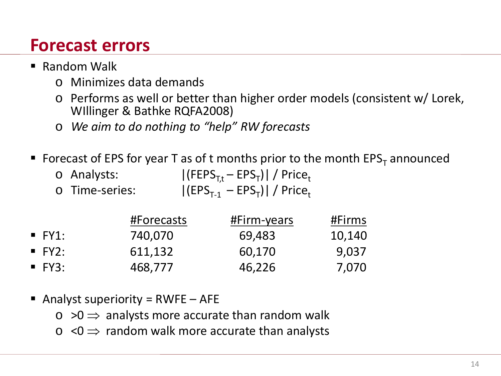### **Forecast errors**

- Random Walk
	- o Minimizes data demands
	- o Performs as well or better than higher order models (consistent w/ Lorek, WIllinger & Bathke RQFA2008)
	- o *We aim to do nothing to "help" RW forecasts*
- Forecast of EPS for year T as of t months prior to the month  $EPS<sub>T</sub>$  announced

| ○ Analysts:    | $ (FEPST,t - EPST)  / Pricet$                |
|----------------|----------------------------------------------|
| o Time-series: | $ (EPS_{T-1} - EPS_T)  /$ Price <sub>t</sub> |

|                     | #Forecasts | #Firm-years | #Firms |
|---------------------|------------|-------------|--------|
| $\blacksquare$ FY1: | 740,070    | 69,483      | 10,140 |
| $\blacksquare$ FY2: | 611,132    | 60,170      | 9,037  |
| $\blacksquare$ FY3: | 468,777    | 46,226      | 7,070  |

- Analyst superiority =  $RWFE AFE$ 
	- $\circ$  >0  $\Rightarrow$  analysts more accurate than random walk
	- $\circ$  <0  $\Rightarrow$  random walk more accurate than analysts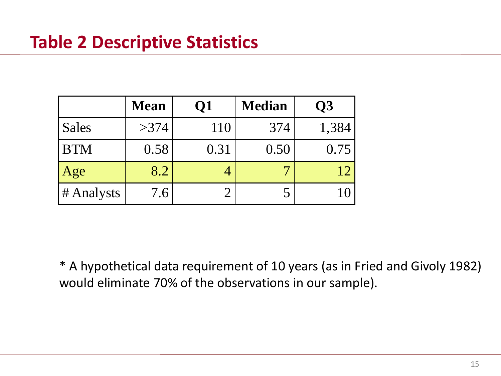|              | <b>Mean</b> | Q1   | <b>Median</b> | $\overline{\mathbf{Q}}$ |
|--------------|-------------|------|---------------|-------------------------|
| <b>Sales</b> | >374        | 110  | 374           | 1,384                   |
| <b>BTM</b>   | 0.58        | 0.31 | 0.50          | 0.75                    |
| Age          | 8.2         |      |               | 12                      |
| # Analysts   | 7.6         |      |               |                         |

\* A hypothetical data requirement of 10 years (as in Fried and Givoly 1982) would eliminate 70% of the observations in our sample).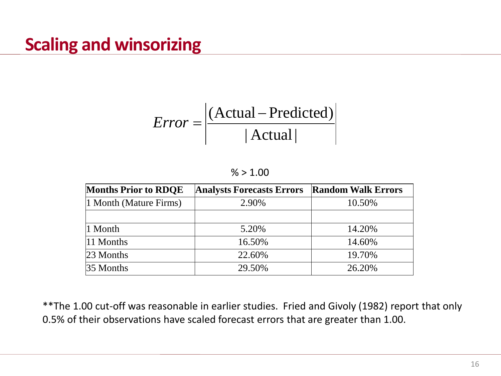$$
Error = \frac{(\text{Actual - Predicted})}{|\text{Actual}|}
$$

#### $% > 1.00$

| <b>Months Prior to RDQE</b> | <b>Analysts Forecasts Errors</b> | <b>Random Walk Errors</b> |
|-----------------------------|----------------------------------|---------------------------|
| 1 Month (Mature Firms)      | 2.90%                            | 10.50%                    |
|                             |                                  |                           |
| $\vert$ 1 Month             | 5.20%                            | 14.20%                    |
| 11 Months                   | 16.50%                           | 14.60%                    |
| $23$ Months                 | 22.60%                           | 19.70%                    |
| $35$ Months                 | 29.50%                           | 26.20%                    |

\*\*The 1.00 cut-off was reasonable in earlier studies. Fried and Givoly (1982) report that only 0.5% of their observations have scaled forecast errors that are greater than 1.00.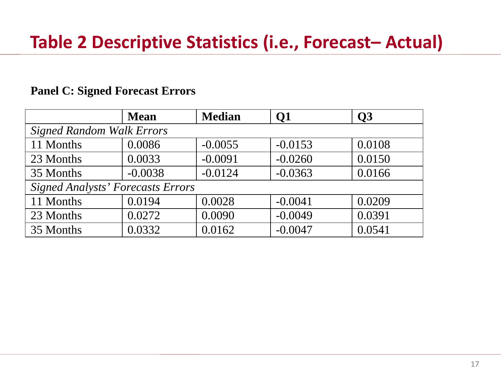#### **Panel C: Signed Forecast Errors**

|                                          | <b>Mean</b> | <b>Median</b> | <b>Q1</b> | O <sub>3</sub> |  |  |  |  |  |
|------------------------------------------|-------------|---------------|-----------|----------------|--|--|--|--|--|
| <b>Signed Random Walk Errors</b>         |             |               |           |                |  |  |  |  |  |
| 11 Months                                | 0.0086      | $-0.0055$     | $-0.0153$ | 0.0108         |  |  |  |  |  |
| 23 Months                                | 0.0033      | $-0.0091$     | $-0.0260$ | 0.0150         |  |  |  |  |  |
| 35 Months                                | $-0.0038$   | $-0.0124$     | $-0.0363$ | 0.0166         |  |  |  |  |  |
| <b>Signed Analysts' Forecasts Errors</b> |             |               |           |                |  |  |  |  |  |
| 11 Months                                | 0.0194      | 0.0028        | $-0.0041$ | 0.0209         |  |  |  |  |  |
| 23 Months                                | 0.0272      | 0.0090        | $-0.0049$ | 0.0391         |  |  |  |  |  |
| 35 Months                                | 0.0332      | 0.0162        | $-0.0047$ | 0.0541         |  |  |  |  |  |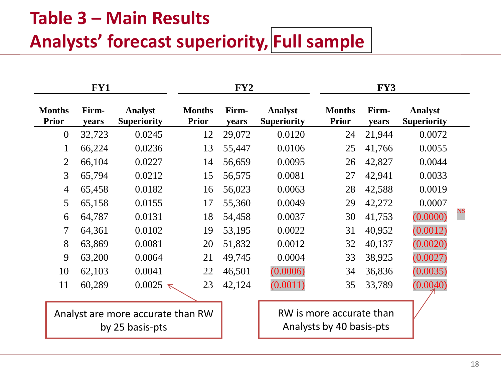# **Table 3 – Main Results Analysts' forecast superiority, Full sample**

| FY1                                                  |                |                                      |                               |                |                                      |                                                      | FY3            |                                      |             |
|------------------------------------------------------|----------------|--------------------------------------|-------------------------------|----------------|--------------------------------------|------------------------------------------------------|----------------|--------------------------------------|-------------|
| <b>Months</b><br><b>Prior</b>                        | Firm-<br>years | <b>Analyst</b><br><b>Superiority</b> | <b>Months</b><br><b>Prior</b> | Firm-<br>years | <b>Analyst</b><br><b>Superiority</b> | <b>Months</b><br><b>Prior</b>                        | Firm-<br>years | <b>Analyst</b><br><b>Superiority</b> |             |
| $\overline{0}$                                       | 32,723         | 0.0245                               | 12                            | 29,072         | 0.0120                               | 24                                                   | 21,944         | 0.0072                               |             |
| 1                                                    | 66,224         | 0.0236                               | 13                            | 55,447         | 0.0106                               | 25                                                   | 41,766         | 0.0055                               |             |
| 2                                                    | 66,104         | 0.0227                               | 14                            | 56,659         | 0.0095                               | 26                                                   | 42,827         | 0.0044                               |             |
| 3                                                    | 65,794         | 0.0212                               | 15                            | 56,575         | 0.0081                               | 27                                                   | 42,941         | 0.0033                               |             |
| $\overline{4}$                                       | 65,458         | 0.0182                               | 16                            | 56,023         | 0.0063                               | 28                                                   | 42,588         | 0.0019                               |             |
| 5                                                    | 65,158         | 0.0155                               | 17                            | 55,360         | 0.0049                               | 29                                                   | 42,272         | 0.0007                               |             |
| 6                                                    | 64,787         | 0.0131                               | 18                            | 54,458         | 0.0037                               | 30                                                   | 41,753         | (0.0000)                             | $_{\rm NS}$ |
| 7                                                    | 64,361         | 0.0102                               | 19                            | 53,195         | 0.0022                               | 31                                                   | 40,952         | (0.0012)                             |             |
| 8                                                    | 63,869         | 0.0081                               | 20                            | 51,832         | 0.0012                               | 32                                                   | 40,137         | (0.0020)                             |             |
| 9                                                    | 63,200         | 0.0064                               | 21                            | 49,745         | 0.0004                               | 33                                                   | 38,925         | (0.0027)                             |             |
| 10                                                   | 62,103         | 0.0041                               | 22                            | 46,501         | (0.0006)                             | 34                                                   | 36,836         | (0.0035)                             |             |
| 11                                                   | 60,289         | 0.0025<br>$\triangledown$            | 23                            | 42,124         | (0.0011)                             | 35                                                   | 33,789         | (0.0040)                             |             |
| Analyst are more accurate than RW<br>by 25 basis-pts |                |                                      |                               |                |                                      | RW is more accurate than<br>Analysts by 40 basis-pts |                |                                      |             |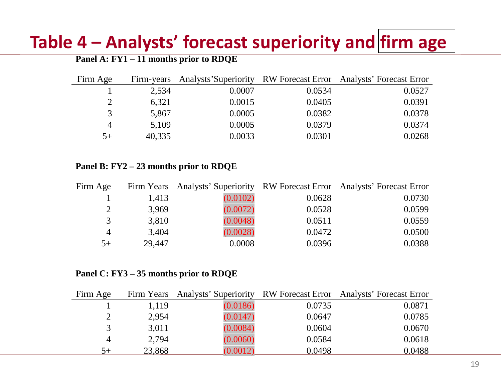### **Table 4 – Analysts' forecast superiority and firm age**

#### **Panel A: FY1 – 11 months prior to RDQE**

| Firm Age       | Firm-years |        |        | Analysts' Superiority RW Forecast Error Analysts' Forecast Error |
|----------------|------------|--------|--------|------------------------------------------------------------------|
|                | 2.534      | 0.0007 | 0.0534 | 0.0527                                                           |
| 2              | 6,321      | 0.0015 | 0.0405 | 0.0391                                                           |
| 3              | 5,867      | 0.0005 | 0.0382 | 0.0378                                                           |
| $\overline{4}$ | 5,109      | 0.0005 | 0.0379 | 0.0374                                                           |
| $5+$           | 40,335     | 0.0033 | 0.0301 | 0.0268                                                           |

**Panel B: FY2 – 23 months prior to RDQE**

| Firm Age       |        |          |        | Firm Years Analysts' Superiority RW Forecast Error Analysts' Forecast Error |
|----------------|--------|----------|--------|-----------------------------------------------------------------------------|
|                | 1,413  | (0.0102) | 0.0628 | 0.0730                                                                      |
|                | 3,969  | (0.0072) | 0.0528 | 0.0599                                                                      |
|                | 3,810  | (0.0048) | 0.0511 | 0.0559                                                                      |
| $\overline{4}$ | 3,404  | (0.0028) | 0.0472 | 0.0500                                                                      |
| $5+$           | 29,447 | 0.0008   | 0.0396 | 0.0388                                                                      |

**Panel C: FY3 – 35 months prior to RDQE**

| Firm Age       |        |          |        | Firm Years Analysts' Superiority RW Forecast Error Analysts' Forecast Error |
|----------------|--------|----------|--------|-----------------------------------------------------------------------------|
|                | 1.119  | (0.0186) | 0.0735 | 0.0871                                                                      |
|                | 2,954  | (0.0147) | 0.0647 | 0.0785                                                                      |
|                | 3,011  | (0.0084) | 0.0604 | 0.0670                                                                      |
| $\overline{4}$ | 2,794  | (0.0060) | 0.0584 | 0.0618                                                                      |
| $5+$           | 23,868 | (0.0012) | 0.0498 | 0.0488                                                                      |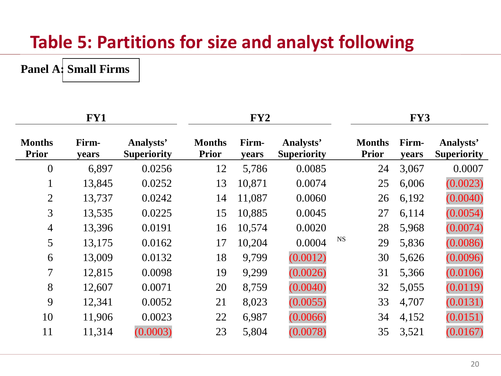### **Table 5: Partitions for size and analyst following**

#### **Panel A: Small Firms**

|                               | FY1            |                                 | FY2                           |                |                                 |             | FY3                           |                |                                 |  |
|-------------------------------|----------------|---------------------------------|-------------------------------|----------------|---------------------------------|-------------|-------------------------------|----------------|---------------------------------|--|
| <b>Months</b><br><b>Prior</b> | Firm-<br>years | Analysts'<br><b>Superiority</b> | <b>Months</b><br><b>Prior</b> | Firm-<br>years | Analysts'<br><b>Superiority</b> |             | <b>Months</b><br><b>Prior</b> | Firm-<br>years | Analysts'<br><b>Superiority</b> |  |
| $\overline{0}$                | 6,897          | 0.0256                          | 12                            | 5,786          | 0.0085                          |             | 24                            | 3,067          | 0.0007                          |  |
| $\mathbf{1}$                  | 13,845         | 0.0252                          | 13                            | 10,871         | 0.0074                          |             | 25                            | 6,006          | (0.0023)                        |  |
| $\overline{2}$                | 13,737         | 0.0242                          | 14                            | 11,087         | 0.0060                          |             | 26                            | 6,192          | (0.0040)                        |  |
| 3                             | 13,535         | 0.0225                          | 15                            | 10,885         | 0.0045                          |             | 27                            | 6,114          | (0.0054)                        |  |
| $\overline{4}$                | 13,396         | 0.0191                          | 16                            | 10,574         | 0.0020                          |             | 28                            | 5,968          | (0.0074)                        |  |
| 5                             | 13,175         | 0.0162                          | 17                            | 10,204         | 0.0004                          | $_{\rm NS}$ | 29                            | 5,836          | (0.0086)                        |  |
| 6                             | 13,009         | 0.0132                          | 18                            | 9,799          | (0.0012)                        |             | 30                            | 5,626          | (0.0096)                        |  |
| 7                             | 12,815         | 0.0098                          | 19                            | 9,299          | (0.0026)                        |             | 31                            | 5,366          | (0.0106)                        |  |
| 8                             | 12,607         | 0.0071                          | 20                            | 8,759          | (0.0040)                        |             | 32                            | 5,055          | (0.0119)                        |  |
| 9                             | 12,341         | 0.0052                          | 21                            | 8,023          | (0.0055)                        |             | 33                            | 4,707          | (0.0131)                        |  |
| 10                            | 11,906         | 0.0023                          | 22                            | 6,987          | (0.0066)                        |             | 34                            | 4,152          | (0.0151)                        |  |
| 11                            | 11,314         | (0.0003)                        | 23                            | 5,804          | (0.0078)                        |             | 35                            | 3,521          | (0.0167)                        |  |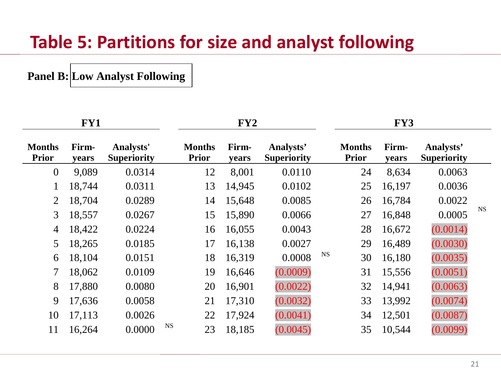#### **Table 5: Partitions for size and analyst following**

**Panel B: Low Analyst Following**

|                               | FY1            |                                        |                               | FY <sub>2</sub> |                                 |           | FY3                           |                |                                 |           |
|-------------------------------|----------------|----------------------------------------|-------------------------------|-----------------|---------------------------------|-----------|-------------------------------|----------------|---------------------------------|-----------|
| <b>Months</b><br><b>Prior</b> | Firm-<br>years | <b>Analysts'</b><br><b>Superiority</b> | <b>Months</b><br><b>Prior</b> | Firm-<br>years  | Analysts'<br><b>Superiority</b> |           | <b>Months</b><br><b>Prior</b> | Firm-<br>years | Analysts'<br><b>Superiority</b> |           |
| $\boldsymbol{0}$              | 9,089          | 0.0314                                 | 12                            | 8,001           | 0.0110                          |           | 24                            | 8,634          | 0.0063                          |           |
| $\mathbf{1}$                  | 18,744         | 0.0311                                 | 13                            | 14,945          | 0.0102                          |           | 25                            | 16,197         | 0.0036                          |           |
| $\overline{2}$                | 18,704         | 0.0289                                 | 14                            | 15,648          | 0.0085                          |           | 26                            | 16,784         | 0.0022                          |           |
| 3                             | 18,557         | 0.0267                                 | 15                            | 15,890          | 0.0066                          |           | 27                            | 16,848         | 0.0005                          | <b>NS</b> |
| $\overline{4}$                | 18,422         | 0.0224                                 | 16                            | 16,055          | 0.0043                          |           | 28                            | 16,672         | (0.0014)                        |           |
| 5                             | 18,265         | 0.0185                                 | 17                            | 16,138          | 0.0027                          |           | 29                            | 16,489         | (0.0030)                        |           |
| 6                             | 18,104         | 0.0151                                 | 18                            | 16,319          | 0.0008                          | <b>NS</b> | 30                            | 16,180         | (0.0035)                        |           |
| 7                             | 18,062         | 0.0109                                 | 19                            | 16,646          | (0.0009)                        |           | 31                            | 15,556         | (0.0051)                        |           |
| 8                             | 17,880         | 0.0080                                 | 20                            | 16,901          | (0.0022)                        |           | 32                            | 14,941         | (0.0063)                        |           |
| 9                             | 17,636         | 0.0058                                 | 21                            | 17,310          | (0.0032)                        |           | 33                            | 13,992         | (0.0074)                        |           |
| 10                            | 17,113         | 0.0026                                 | 22                            | 17,924          | (0.0041)                        |           | 34                            | 12,501         | (0.0087)                        |           |
| 11                            | 16,264         | 0.0000                                 | <b>NS</b><br>23               | 18,185          | (0.0045)                        |           | 35                            | 10,544         | (0.0099)                        |           |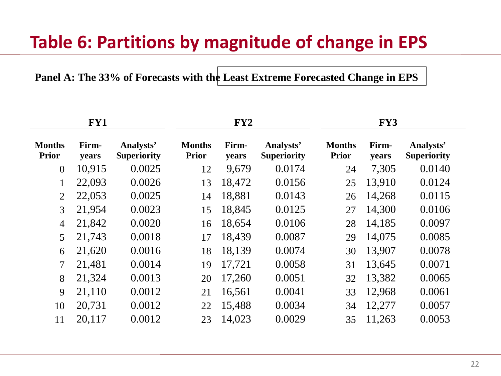### **Table 6: Partitions by magnitude of change in EPS**

**Panel A: The 33% of Forecasts with the Least Extreme Forecasted Change in EPS**

|                               | FY1            |                                 | FY2                           |                |                                 | FY3                           |                |                                 |  |
|-------------------------------|----------------|---------------------------------|-------------------------------|----------------|---------------------------------|-------------------------------|----------------|---------------------------------|--|
| <b>Months</b><br><b>Prior</b> | Firm-<br>years | Analysts'<br><b>Superiority</b> | <b>Months</b><br><b>Prior</b> | Firm-<br>years | Analysts'<br><b>Superiority</b> | <b>Months</b><br><b>Prior</b> | Firm-<br>years | Analysts'<br><b>Superiority</b> |  |
| $\theta$                      | 10,915         | 0.0025                          | 12                            | 9,679          | 0.0174                          | 24                            | 7,305          | 0.0140                          |  |
| 1                             | 22,093         | 0.0026                          | 13                            | 18,472         | 0.0156                          | 25                            | 13,910         | 0.0124                          |  |
| $\overline{2}$                | 22,053         | 0.0025                          | 14                            | 18,881         | 0.0143                          | 26                            | 14,268         | 0.0115                          |  |
| 3                             | 21,954         | 0.0023                          | 15                            | 18,845         | 0.0125                          | 27                            | 14,300         | 0.0106                          |  |
| $\overline{4}$                | 21,842         | 0.0020                          | 16                            | 18,654         | 0.0106                          | 28                            | 14,185         | 0.0097                          |  |
| 5                             | 21,743         | 0.0018                          | 17                            | 18,439         | 0.0087                          | 29                            | 14,075         | 0.0085                          |  |
| 6                             | 21,620         | 0.0016                          | 18                            | 18,139         | 0.0074                          | 30                            | 13,907         | 0.0078                          |  |
| 7                             | 21,481         | 0.0014                          | 19                            | 17,721         | 0.0058                          | 31                            | 13,645         | 0.0071                          |  |
| 8                             | 21,324         | 0.0013                          | 20                            | 17,260         | 0.0051                          | 32                            | 13,382         | 0.0065                          |  |
| 9                             | 21,110         | 0.0012                          | 21                            | 16,561         | 0.0041                          | 33                            | 12,968         | 0.0061                          |  |
| 10                            | 20,731         | 0.0012                          | 22                            | 15,488         | 0.0034                          | 34                            | 12,277         | 0.0057                          |  |
| 11                            | 20,117         | 0.0012                          | 23                            | 14,023         | 0.0029                          | 35                            | 11,263         | 0.0053                          |  |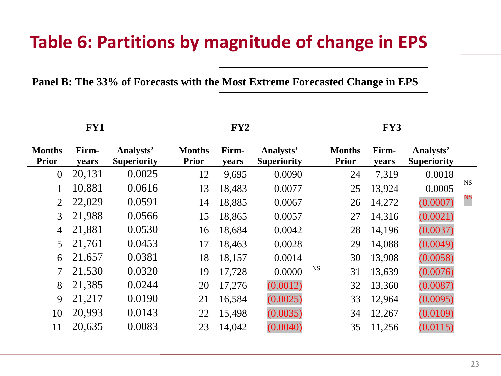## **Table 6: Partitions by magnitude of change in EPS**

#### Panel B: The 33% of Forecasts with the Most Extreme Forecasted Change in EPS

|                               | FY1            |                                 |                               | FY2            |                                 | FY3                           |                |                                 |                |  |
|-------------------------------|----------------|---------------------------------|-------------------------------|----------------|---------------------------------|-------------------------------|----------------|---------------------------------|----------------|--|
| <b>Months</b><br><b>Prior</b> | Firm-<br>years | Analysts'<br><b>Superiority</b> | <b>Months</b><br><b>Prior</b> | Firm-<br>years | Analysts'<br><b>Superiority</b> | <b>Months</b><br><b>Prior</b> | Firm-<br>years | Analysts'<br><b>Superiority</b> |                |  |
| $\overline{0}$                | 20,131         | 0.0025                          | 12                            | 9,695          | 0.0090                          | 24                            | 7,319          | 0.0018                          |                |  |
| $\mathbf{1}$                  | 10,881         | 0.0616                          | 13                            | 18,483         | 0.0077                          | 25                            | 13,924         | 0.0005                          | <b>NS</b>      |  |
| $\overline{2}$                | 22,029         | 0.0591                          | 14                            | 18,885         | 0.0067                          | 26                            | 14,272         | (0.0007)                        | $\frac{NS}{2}$ |  |
| 3                             | 21,988         | 0.0566                          | 15                            | 18,865         | 0.0057                          | 27                            | 14,316         | (0.0021)                        |                |  |
| $\overline{4}$                | 21,881         | 0.0530                          | 16                            | 18,684         | 0.0042                          | 28                            | 14,196         | (0.0037)                        |                |  |
| 5                             | 21,761         | 0.0453                          | 17                            | 18,463         | 0.0028                          | 29                            | 14,088         | (0.0049)                        |                |  |
| 6                             | 21,657         | 0.0381                          | 18                            | 18,157         | 0.0014                          | 30                            | 13,908         | (0.0058)                        |                |  |
| $\tau$                        | 21,530         | 0.0320                          | 19                            | 17,728         | 0.0000                          | <b>NS</b><br>31               | 13,639         | (0.0076)                        |                |  |
| 8                             | 21,385         | 0.0244                          | 20                            | 17,276         | (0.0012)                        | 32                            | 13,360         | (0.0087)                        |                |  |
| 9                             | 21,217         | 0.0190                          | 21                            | 16,584         | (0.0025)                        | 33                            | 12,964         | (0.0095)                        |                |  |
| 10                            | 20,993         | 0.0143                          | 22                            | 15,498         | (0.0035)                        | 34                            | 12,267         | (0.0109)                        |                |  |
| 11                            | 20,635         | 0.0083                          | 23                            | 14,042         | (0.0040)                        | 35                            | 11,256         | (0.0115)                        |                |  |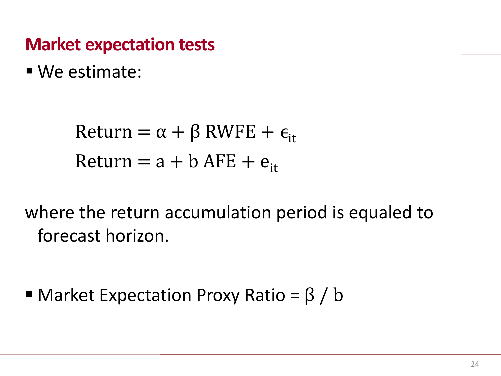#### **Market expectation tests**

We estimate:

Return =  $\alpha + \beta$  RWFE +  $\epsilon_{it}$ Return =  $a + b$  AFE +  $e_{it}$ 

where the return accumulation period is equaled to forecast horizon.

 $\blacksquare$  Market Expectation Proxy Ratio = β / b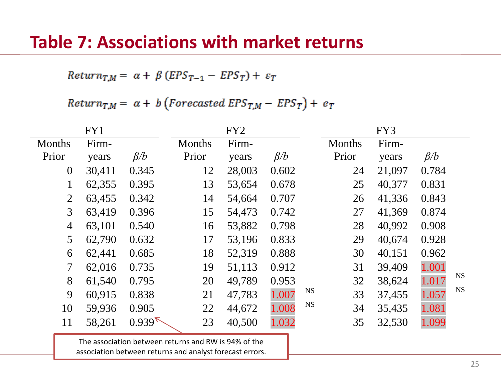#### **Table 7: Associations with market returns**

 $Return_{T,M} = \alpha + \beta (EPS_{T-1} - EPS_T) + \varepsilon_T$ 

Return<sub>T,M</sub> =  $\alpha + b$  (Forecasted EPS<sub>T,M</sub> - EPS<sub>T</sub>) +  $e_T$ 

|                | FY1    |           |               | FY <sub>2</sub> |           |                 | FY3    |           |           |
|----------------|--------|-----------|---------------|-----------------|-----------|-----------------|--------|-----------|-----------|
| <b>Months</b>  | Firm-  |           | <b>Months</b> | Firm-           |           | <b>Months</b>   | Firm-  |           |           |
| Prior          | years  | $\beta/b$ | Prior         | years           | $\beta/b$ | Prior           | years  | $\beta/b$ |           |
| $\overline{0}$ | 30,411 | 0.345     | 12            | 28,003          | 0.602     | 24              | 21,097 | 0.784     |           |
| $\mathbf{1}$   | 62,355 | 0.395     | 13            | 53,654          | 0.678     | 25              | 40,377 | 0.831     |           |
| $\overline{2}$ | 63,455 | 0.342     | 14            | 54,664          | 0.707     | 26              | 41,336 | 0.843     |           |
| 3 <sup>1</sup> | 63,419 | 0.396     | 15            | 54,473          | 0.742     | 27              | 41,369 | 0.874     |           |
| $\overline{4}$ | 63,101 | 0.540     | 16            | 53,882          | 0.798     | 28              | 40,992 | 0.908     |           |
| 5 <sup>5</sup> | 62,790 | 0.632     | 17            | 53,196          | 0.833     | 29              | 40,674 | 0.928     |           |
| 6              | 62,441 | 0.685     | 18            | 52,319          | 0.888     | 30              | 40,151 | 0.962     |           |
| 7              | 62,016 | 0.735     | 19            | 51,113          | 0.912     | 31              | 39,409 | 1.001     |           |
| 8              | 61,540 | 0.795     | 20            | 49,789          | 0.953     | 32              | 38,624 | 1.017     | <b>NS</b> |
| 9              | 60,915 | 0.838     | 21            | 47,783          | 1.007     | <b>NS</b><br>33 | 37,455 | 1.057     | <b>NS</b> |
| 10             | 59,936 | 0.905     | 22            | 44,672          | 1.008     | <b>NS</b><br>34 | 35,435 | 1.081     |           |
| 11             | 58,261 | $0.939\%$ | 23            | 40,500          | 1.032     | 35              | 32,530 | 1.099     |           |
|                |        |           |               |                 |           |                 |        |           |           |

The association between returns and RW is 94% of the association between returns and analyst forecast errors.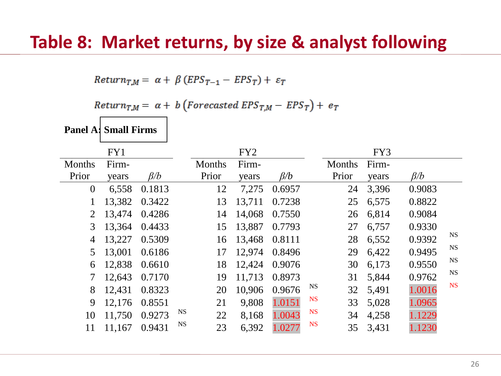$Return_{TM} = \alpha + \beta (EPS_{T-1} - EPS_T) + \varepsilon_T$ 

Return<sub>T,M</sub> =  $\alpha$  + b (Forecasted EPS<sub>T,M</sub> - EPS<sub>T</sub>) +  $e_T$ 

**Panel A: Small Firms**

|                | FY1    |           |           |        | FY <sub>2</sub> |           |           |        | FY3   |           |           |
|----------------|--------|-----------|-----------|--------|-----------------|-----------|-----------|--------|-------|-----------|-----------|
| <b>Months</b>  | Firm-  |           |           | Months | Firm-           |           |           | Months | Firm- |           |           |
| Prior          | years  | $\beta/b$ |           | Prior  | years           | $\beta/b$ |           | Prior  | years | $\beta/b$ |           |
| $\overline{0}$ | 6,558  | 0.1813    |           | 12     | 7,275           | 0.6957    |           | 24     | 3,396 | 0.9083    |           |
| 1              | 13,382 | 0.3422    |           | 13     | 13,711          | 0.7238    |           | 25     | 6,575 | 0.8822    |           |
| $\overline{2}$ | 13,474 | 0.4286    |           | 14     | 14,068          | 0.7550    |           | 26     | 6,814 | 0.9084    |           |
| 3              | 13,364 | 0.4433    |           | 15     | 13,887          | 0.7793    |           | 27     | 6,757 | 0.9330    |           |
| 4              | 13,227 | 0.5309    |           | 16     | 13,468          | 0.8111    |           | 28     | 6,552 | 0.9392    | <b>NS</b> |
| 5              | 13,001 | 0.6186    |           | 17     | 12,974          | 0.8496    |           | 29     | 6,422 | 0.9495    | <b>NS</b> |
| 6              | 12,838 | 0.6610    |           | 18     | 12,424          | 0.9076    |           | 30     | 6,173 | 0.9550    | <b>NS</b> |
| 7              | 12,643 | 0.7170    |           | 19     | 11,713          | 0.8973    |           | 31     | 5,844 | 0.9762    | NS        |
| 8              | 12,431 | 0.8323    |           | 20     | 10,906          | 0.9676    | <b>NS</b> | 32     | 5,491 | 1.0016    | <b>NS</b> |
| 9              | 12,176 | 0.8551    |           | 21     | 9,808           | 1.0151    | <b>NS</b> | 33     | 5,028 | 1.0965    |           |
| 10             | 11,750 | 0.9273    | <b>NS</b> | 22     | 8,168           | 1.0043    | <b>NS</b> | 34     | 4,258 | 1.1229    |           |
| 11             | 11,167 | 0.9431    | <b>NS</b> | 23     | 6,392           | 1.0277    | <b>NS</b> | 35     | 3,431 | 1.1230    |           |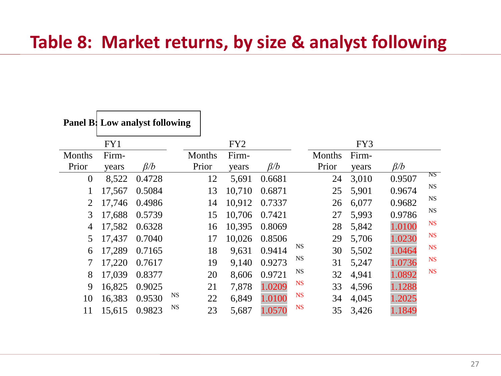#### **Table 8: Market returns, by size & analyst following**

|                | Panel B: Low analyst following |           |           |        |                 |           |           |        |       |           |           |
|----------------|--------------------------------|-----------|-----------|--------|-----------------|-----------|-----------|--------|-------|-----------|-----------|
|                | FY1                            |           |           |        | FY <sub>2</sub> |           |           |        | FY3   |           |           |
| Months         | Firm-                          |           |           | Months | Firm-           |           |           | Months | Firm- |           |           |
| Prior          | years                          | $\beta/b$ |           | Prior  | years           | $\beta/b$ |           | Prior  | years | $\beta/b$ |           |
| $\overline{0}$ | 8,522                          | 0.4728    |           | 12     | 5,691           | 0.6681    |           | 24     | 3,010 | 0.9507    | NS        |
| 1              | 17,567                         | 0.5084    |           | 13     | 10,710          | 0.6871    |           | 25     | 5,901 | 0.9674    | <b>NS</b> |
| $\overline{2}$ | 17,746                         | 0.4986    |           | 14     | 10,912          | 0.7337    |           | 26     | 6,077 | 0.9682    | <b>NS</b> |
| 3              | 17,688                         | 0.5739    |           | 15     | 10,706          | 0.7421    |           | 27     | 5,993 | 0.9786    | <b>NS</b> |
| 4              | 17,582                         | 0.6328    |           | 16     | 10,395          | 0.8069    |           | 28     | 5,842 | 1.0100    | <b>NS</b> |
| 5              | 17,437                         | 0.7040    |           | 17     | 10,026          | 0.8506    |           | 29     | 5,706 | 1.0230    | <b>NS</b> |
| 6              | 17,289                         | 0.7165    |           | 18     | 9,631           | 0.9414    | NS        | 30     | 5,502 | 1.0464    | <b>NS</b> |
| 7              | 17,220                         | 0.7617    |           | 19     | 9,140           | 0.9273    | <b>NS</b> | 31     | 5,247 | 1.0736    | <b>NS</b> |
| 8              | 17,039                         | 0.8377    |           | 20     | 8,606           | 0.9721    | <b>NS</b> | 32     | 4,941 | 1.0892    | <b>NS</b> |
| 9              | 16,825                         | 0.9025    |           | 21     | 7,878           | 1.0209    | <b>NS</b> | 33     | 4,596 | 1.1288    |           |
| 10             | 16,383                         | 0.9530    | <b>NS</b> | 22     | 6,849           | 1.0100    | <b>NS</b> | 34     | 4,045 | 1.2025    |           |
| 11             | 15,615                         | 0.9823    | <b>NS</b> | 23     | 5,687           | 1.0570    | <b>NS</b> | 35     | 3,426 | 1.1849    |           |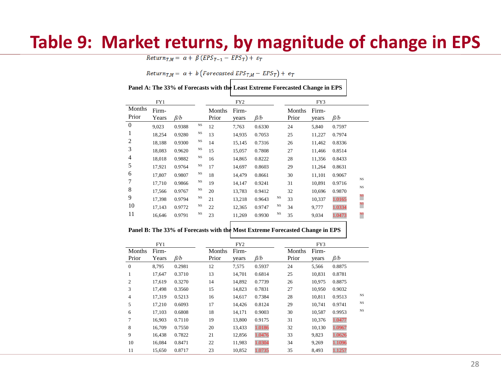#### **Table 9: Market returns, by magnitude of change in EPS**

 $Return_{T,M} = \alpha + \beta (EPS_{T-1} - EPS_T) + \varepsilon_T$ 

Return<sub>T,M</sub> =  $\alpha$  + b (Forecasted EPS<sub>T,M</sub> - EPS<sub>T</sub>) +  $e_T$ 

| Panel A: The 33% of Forecasts with the Least Extreme Forecasted Change in EPS |                |           |             |                 |                 |           |           |                 |                |           |                |
|-------------------------------------------------------------------------------|----------------|-----------|-------------|-----------------|-----------------|-----------|-----------|-----------------|----------------|-----------|----------------|
|                                                                               | FY1            |           |             |                 | FY <sub>2</sub> |           |           |                 | FY3            |           |                |
| Months<br>Prior                                                               | Firm-<br>Years | $\beta/b$ |             | Months<br>Prior | Firm-<br>years  | $\beta/b$ |           | Months<br>Prior | Firm-<br>years | $\beta/b$ |                |
| $\mathbf{0}$                                                                  | 9,023          | 0.9388    | <b>NS</b>   | 12              | 7,763           | 0.6330    |           | 24              | 5,840          | 0.7597    |                |
| 1                                                                             | 18,254         | 0.9280    | <b>NS</b>   | 13              | 14,935          | 0.7053    |           | 25              | 11,227         | 0.7974    |                |
| 2                                                                             | 18,188         | 0.9300    | <b>NS</b>   | 14              | 15,145          | 0.7316    |           | 26              | 11,462         | 0.8336    |                |
| 3                                                                             | 18,083         | 0.9620    | $_{\rm NS}$ | 15              | 15,057          | 0.7808    |           | 27              | 11,466         | 0.8514    |                |
| 4                                                                             | 18,018         | 0.9882    | <b>NS</b>   | 16              | 14,865          | 0.8222    |           | 28              | 11,356         | 0.8433    |                |
| 5                                                                             | 17,921         | 0.9764    | <b>NS</b>   | 17              | 14,697          | 0.8603    |           | 29              | 11,264         | 0.8631    |                |
| 6                                                                             | 17,807         | 0.9807    | <b>NS</b>   | 18              | 14,479          | 0.8661    |           | 30              | 11,101         | 0.9067    |                |
| 7                                                                             | 17,710         | 0.9866    | <b>NS</b>   | 19              | 14,147          | 0.9241    |           | 31              | 10,891         | 0.9716    | <b>NS</b>      |
| 8                                                                             | 17,566         | 0.9767    | <b>NS</b>   | 20              | 13,783          | 0.9412    |           | 32              | 10,696         | 0.9870    | <b>NS</b>      |
| 9                                                                             | 17,398         | 0.9794    | <b>NS</b>   | 21              | 13,218          | 0.9643    | <b>NS</b> | 33              | 10,337         | 1.0165    | $\frac{NS}{2}$ |
| 10                                                                            | 17,143         | 0.9772    | <b>NS</b>   | 22              | 12,365          | 0.9747    | <b>NS</b> | 34              | 9,777          | 1.0334    | $_{\rm NS}$    |
| 11                                                                            | 16,646         | 0.9791    | <b>NS</b>   | 23              | 11,269          | 0.9930    | $_{NS}$   | 35              | 9,034          | 1.0473    | $_{\rm NS}$    |

#### **Panel B: The 33% of Forecasts with the Most Extreme Forecasted Change in EPS**

|                | FY1    |           |        | FY <sub>2</sub> |           |        | FY3    |           |           |
|----------------|--------|-----------|--------|-----------------|-----------|--------|--------|-----------|-----------|
| Months         | Firm-  |           | Months | Firm-           |           | Months | Firm-  |           |           |
| Prior          | Years  | $\beta/b$ | Prior  | years           | $\beta/b$ | Prior  | years  | $\beta/b$ |           |
| $\overline{0}$ | 8.795  | 0.2981    | 12     | 7,575           | 0.5937    | 24     | 5,566  | 0.8875    |           |
| 1              | 17,647 | 0.3710    | 13     | 14,701          | 0.6814    | 25     | 10,831 | 0.8781    |           |
| 2              | 17.619 | 0.3270    | 14     | 14,892          | 0.7739    | 26     | 10.975 | 0.8875    |           |
| 3              | 17,498 | 0.3560    | 15     | 14,823          | 0.7831    | 27     | 10,950 | 0.9032    |           |
| $\overline{4}$ | 17,319 | 0.5213    | 16     | 14,617          | 0.7384    | 28     | 10.811 | 0.9513    | <b>NS</b> |
| 5              | 17,210 | 0.6093    | 17     | 14,426          | 0.8124    | 29     | 10,741 | 0.9741    | <b>NS</b> |
| 6              | 17,103 | 0.6808    | 18     | 14,171          | 0.9003    | 30     | 10,587 | 0.9953    | <b>NS</b> |
| 7              | 16,903 | 0.7110    | 19     | 13,800          | 0.9175    | 31     | 10,376 | 1.0477    |           |
| 8              | 16,709 | 0.7550    | 20     | 13,433          | 1.0186    | 32     | 10,130 | 1.0967    |           |
| 9              | 16,438 | 0.7822    | 21     | 12,856          | 1.0476    | 33     | 9,823  | 1.0626    |           |
| 10             | 16,084 | 0.8471    | 22     | 11,983          | 1.0304    | 34     | 9,269  | 1.1096    |           |
| 11             | 15,650 | 0.8717    | 23     | 10,852          | 1.0735    | 35     | 8,493  | 1.1257    |           |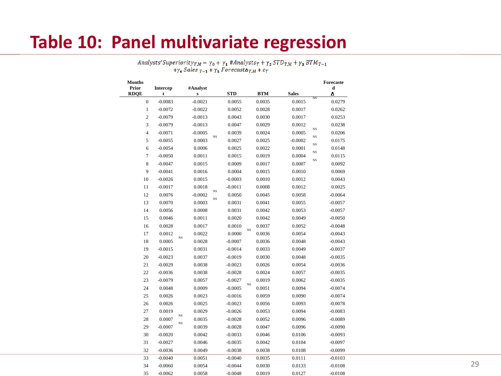#### **Table 10: Panel multivariate regression**

Analysts' Superiority $T_{T,M} = \gamma_0 + \gamma_1$  #Analysts $_T + \gamma_2$  STD $_{T,M} + \gamma_3$  BTM $_{T-1}$ + $\gamma_4$  Sales  $T_{-1}$  +  $\gamma_5$  Forecast $\Delta T_M$  +  $\varepsilon_T$ 

| <b>Months</b>        |               |                       |             |            |             |            |              |             | Forecaste |
|----------------------|---------------|-----------------------|-------------|------------|-------------|------------|--------------|-------------|-----------|
| Prior<br><b>RDOE</b> | Intercep<br>t | #Analyst<br>${\bf s}$ |             | <b>STD</b> |             | <b>BTM</b> | <b>Sales</b> |             | d<br>Δ    |
| $\boldsymbol{0}$     | $-0.0083$     | $-0.0021$             |             | 0.0055     |             | 0.0035     | 0.0015       | NS          | 0.0279    |
| $\mathbf{1}$         | $-0.0072$     | $-0.0022$             |             | 0.0052     |             | 0.0028     | 0.0017       |             | 0.0262    |
| $\overline{c}$       | $-0.0079$     | $-0.0013$             |             | 0.0043     |             | 0.0030     | 0.0017       |             | 0.0253    |
| 3                    | $-0.0079$     | $-0.0013$             |             | 0.0047     |             | 0.0029     | 0.0012       |             | 0.0238    |
| $\overline{4}$       | $-0.0071$     | $-0.0005$             |             | 0.0039     |             | 0.0024     | 0.0005       | $_{\rm NS}$ | 0.0206    |
| 5                    | $-0.0055$     | 0.0003                | $_{NS}$     | 0.0027     |             | 0.0025     | $-0.0002$    | $_{\rm NS}$ | 0.0175    |
| 6                    | $-0.0054$     | 0.0006                |             | 0.0025     |             | 0.0022     | 0.0001       | $_{\rm NS}$ | 0.0148    |
| 7                    | $-0.0050$     | 0.0011                |             | 0.0015     |             | 0.0019     | 0.0004       | $_{\rm NS}$ | 0.0115    |
| 8                    | $-0.0047$     | 0.0015                |             | 0.0009     |             | 0.0017     | 0.0007       | $_{\rm NS}$ | 0.0092    |
| 9                    | $-0.0041$     | 0.0016                |             | 0.0004     |             | 0.0015     | 0.0010       |             | 0.0069    |
| 10                   | $-0.0026$     | 0.0015                |             | $-0.0003$  |             | 0.0010     | 0.0012       |             | 0.0043    |
| 11                   | $-0.0017$     | 0.0018                |             | $-0.0011$  |             | 0.0008     | 0.0012       |             | 0.0025    |
| 12                   | 0.0076        | $-0.0002$             | $_{\rm NS}$ | 0.0050     |             | 0.0045     | 0.0058       |             | $-0.0064$ |
| 13                   | 0.0070        | 0.0003                | $_{\rm NS}$ | 0.0031     |             | 0.0041     | 0.0055       |             | $-0.0057$ |
| 14                   | 0.0056        | 0.0008                |             | 0.0031     |             | 0.0042     | 0.0053       |             | $-0.0057$ |
| 15                   | 0.0046        | 0.0011                |             | 0.0020     |             | 0.0042     | 0.0049       |             | $-0.0050$ |
| 16                   | 0.0028        | 0.0017                |             | 0.0010     |             | 0.0037     | 0.0052       |             | $-0.0048$ |
| 17                   | 0.0012        | 0.0022                |             | 0.0000     | $_{\rm NS}$ | 0.0036     | 0.0054       |             | $-0.0043$ |
| 18                   | 0.0005        | $_{NS}$<br>0.0028     |             | $-0.0007$  |             | 0.0036     | 0.0048       |             | $-0.0043$ |
| 19                   | $-0.0015$     | 0.0031                |             | $-0.0014$  |             | 0.0033     | 0.0049       |             | $-0.0037$ |
| 20                   | $-0.0023$     | 0.0037                |             | $-0.0019$  |             | 0.0030     | 0.0048       |             | $-0.0035$ |
| 21                   | $-0.0029$     | 0.0038                |             | $-0.0023$  |             | 0.0026     | 0.0054       |             | $-0.0036$ |
| 22                   | $-0.0036$     | 0.0038                |             | $-0.0028$  |             | 0.0024     | 0.0057       |             | $-0.0035$ |
| 23                   | $-0.0079$     | 0.0057                |             | $-0.0027$  | $_{\rm NS}$ | 0.0019     | 0.0062       |             | $-0.0035$ |
| 24                   | 0.0048        | 0.0009                |             | $-0.0005$  |             | 0.0051     | 0.0094       |             | $-0.0074$ |
| 25                   | 0.0026        | 0.0023                |             | $-0.0016$  |             | 0.0059     | 0.0090       |             | $-0.0074$ |
| 26                   | 0.0026        | 0.0025                |             | $-0.0023$  |             | 0.0056     | 0.0093       |             | $-0.0078$ |
| 27                   | 0.0019        | 0.0029<br>$_{\rm NS}$ |             | $-0.0026$  |             | 0.0053     | 0.0094       |             | $-0.0083$ |
| 28                   | 0.0007        | 0.0035<br>$_{NS}$     |             | $-0.0028$  |             | 0.0052     | 0.0096       |             | $-0.0089$ |
| 29                   | $-0.0007$     | 0.0039                |             | $-0.0028$  |             | 0.0047     | 0.0096       |             | $-0.0090$ |
| 30                   | $-0.0020$     | 0.0042                |             | $-0.0033$  |             | 0.0046     | 0.0106       |             | $-0.0093$ |
| 31                   | $-0.0027$     | 0.0046                |             | $-0.0035$  |             | 0.0042     | 0.0104       |             | $-0.0097$ |
| 32                   | $-0.0036$     | 0.0049                |             | $-0.0038$  |             | 0.0038     | 0.0108       |             | $-0.0099$ |
| 33                   | $-0.0040$     | 0.0051                |             | $-0.0040$  |             | 0.0035     | 0.0111       |             | $-0.0103$ |
| 34                   | $-0.0060$     | 0.0054                |             | $-0.0044$  |             | 0.0030     | 0.0133       |             | $-0.0108$ |
| 35                   | $-0.0062$     | 0.0058                |             | $-0.0048$  |             | 0.0019     | 0.0127       |             | $-0.0108$ |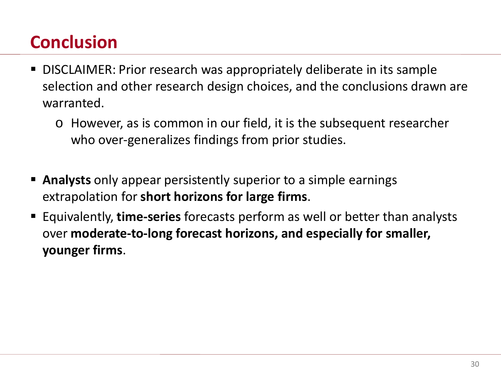# **Conclusion**

- DISCLAIMER: Prior research was appropriately deliberate in its sample selection and other research design choices, and the conclusions drawn are warranted.
	- o However, as is common in our field, it is the subsequent researcher who over-generalizes findings from prior studies.
- **Analysts** only appear persistently superior to a simple earnings extrapolation for **short horizons for large firms**.
- Equivalently, **time-series** forecasts perform as well or better than analysts over **moderate-to-long forecast horizons, and especially for smaller, younger firms**.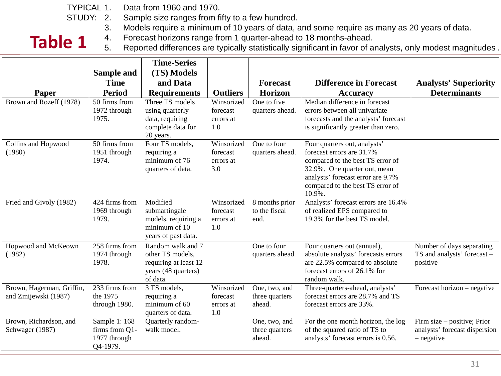Data from 1960 and 1970. TYPICAL 1.

- Sample size ranges from fifty to a few hundred. STUDY: 2.
	- 3. Models require a minimum of 10 years of data, and some require as many as 20 years of data.
	-

**Table 1** 4. Forecast horizons range from 1 quarter-ahead to 18 months-ahead.<br>5. Reported differences are typically statistically significant in favor of a Reported differences are typically statistically significant in favor of analysts, only modest magnitudes .

|                                                   | Sample and<br><b>Time</b>                                   | <b>Time-Series</b><br>(TS) Models<br>and Data                                                     |                                            | <b>Forecast</b>                           | <b>Difference in Forecast</b>                                                                                                                                                                                    | <b>Analysts' Superiority</b>                                               |
|---------------------------------------------------|-------------------------------------------------------------|---------------------------------------------------------------------------------------------------|--------------------------------------------|-------------------------------------------|------------------------------------------------------------------------------------------------------------------------------------------------------------------------------------------------------------------|----------------------------------------------------------------------------|
| Paper                                             | <b>Period</b>                                               | <b>Requirements</b>                                                                               | <b>Outliers</b>                            | <b>Horizon</b>                            | <b>Accuracy</b>                                                                                                                                                                                                  | <b>Determinants</b>                                                        |
| Brown and Rozeff (1978)                           | 50 firms from<br>1972 through<br>1975.                      | Three TS models<br>using quarterly<br>data, requiring<br>complete data for<br>20 years.           | Winsorized<br>forecast<br>errors at<br>1.0 | One to five<br>quarters ahead.            | Median difference in forecast<br>errors between all univariate<br>forecasts and the analysts' forecast<br>is significantly greater than zero.                                                                    |                                                                            |
| Collins and Hopwood<br>(1980)                     | 50 firms from<br>1951 through<br>1974.                      | Four TS models,<br>requiring a<br>minimum of 76<br>quarters of data.                              | Winsorized<br>forecast<br>errors at<br>3.0 | One to four<br>quarters ahead.            | Four quarters out, analysts'<br>forecast errors are 31.7%<br>compared to the best TS error of<br>32.9%. One quarter out, mean<br>analysts' forecast error are 9.7%<br>compared to the best TS error of<br>10.9%. |                                                                            |
| Fried and Givoly (1982)                           | $\overline{424}$ firms from<br>1969 through<br>1979.        | Modified<br>submartingale<br>models, requiring a<br>minimum of 10<br>years of past data.          | Winsorized<br>forecast<br>errors at<br>1.0 | 8 months prior<br>to the fiscal<br>end.   | Analysts' forecast errors are 16.4%<br>of realized EPS compared to<br>19.3% for the best TS model.                                                                                                               |                                                                            |
| Hopwood and McKeown<br>(1982)                     | 258 firms from<br>1974 through<br>1978.                     | Random walk and 7<br>other TS models,<br>requiring at least 12<br>years (48 quarters)<br>of data. |                                            | One to four<br>quarters ahead.            | Four quarters out (annual),<br>absolute analysts' forecasts errors<br>are 22.5% compared to absolute<br>forecast errors of 26.1% for<br>random walk.                                                             | Number of days separating<br>TS and analysts' forecast -<br>positive       |
| Brown, Hagerman, Griffin,<br>and Zmijewski (1987) | 233 firms from<br>the 1975<br>through 1980.                 | 3 TS models,<br>requiring a<br>minimum of 60<br>quarters of data.                                 | Winsorized<br>forecast<br>errors at<br>1.0 | One, two, and<br>three quarters<br>ahead. | Three-quarters-ahead, analysts'<br>forecast errors are 28.7% and TS<br>forecast errors are 33%.                                                                                                                  | Forecast horizon – negative                                                |
| Brown, Richardson, and<br>Schwager (1987)         | Sample 1: 168<br>firms from Q1-<br>1977 through<br>Q4-1979. | Quarterly random-<br>walk model.                                                                  |                                            | One, two, and<br>three quarters<br>ahead. | For the one month horizon, the log<br>of the squared ratio of TS to<br>analysts' forecast errors is 0.56.                                                                                                        | Firm size – positive; Prior<br>analysts' forecast dispersion<br>- negative |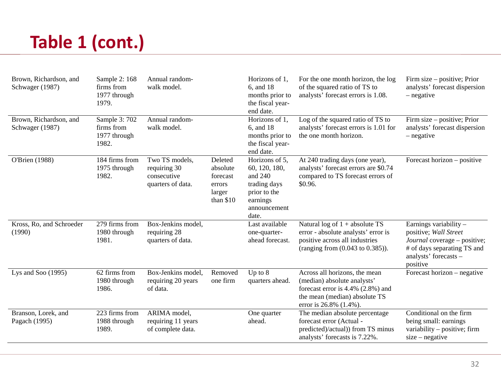# **Table 1 (cont.)**

| Brown, Richardson, and<br>Schwager (1987) | Sample 2: 168<br>firms from<br>1977 through<br>1979. | Annual random-<br>walk model.                                      |                                                                   | Horizons of 1,<br>6, and 18<br>months prior to<br>the fiscal year-<br>end date.                                   | For the one month horizon, the log<br>of the squared ratio of TS to<br>analysts' forecast errors is 1.08.                                                    | Firm size – positive; Prior<br>analysts' forecast dispersion<br>- negative                                                                          |
|-------------------------------------------|------------------------------------------------------|--------------------------------------------------------------------|-------------------------------------------------------------------|-------------------------------------------------------------------------------------------------------------------|--------------------------------------------------------------------------------------------------------------------------------------------------------------|-----------------------------------------------------------------------------------------------------------------------------------------------------|
| Brown, Richardson, and<br>Schwager (1987) | Sample 3: 702<br>firms from<br>1977 through<br>1982. | Annual random-<br>walk model.                                      |                                                                   | Horizons of $\overline{1,}$<br>6, and 18<br>months prior to<br>the fiscal year-<br>end date.                      | Log of the squared ratio of TS to<br>analysts' forecast errors is 1.01 for<br>the one month horizon.                                                         | Firm size – positive; Prior<br>analysts' forecast dispersion<br>- negative                                                                          |
| O'Brien (1988)                            | 184 firms from<br>1975 through<br>1982.              | Two TS models,<br>requiring 30<br>consecutive<br>quarters of data. | Deleted<br>absolute<br>forecast<br>errors<br>larger<br>than $$10$ | Horizons of 5,<br>60, 120, 180,<br>and $240$<br>trading days<br>prior to the<br>earnings<br>announcement<br>date. | At 240 trading days (one year),<br>analysts' forecast errors are \$0.74<br>compared to TS forecast errors of<br>\$0.96.                                      | Forecast horizon – positive                                                                                                                         |
| Kross, Ro, and Schroeder<br>(1990)        | 279 firms from<br>1980 through<br>1981.              | Box-Jenkins model,<br>requiring 28<br>quarters of data.            |                                                                   | Last available<br>one-quarter-<br>ahead forecast.                                                                 | Natural log of $1 + absolute TS$<br>error - absolute analysts' error is<br>positive across all industries<br>(ranging from $(0.043 \text{ to } 0.385)$ ).    | Earnings variability -<br>positive; Wall Street<br>Journal coverage – positive;<br># of days separating TS and<br>analysts' forecasts -<br>positive |
| Lys and Soo $(1995)$                      | 62 firms from<br>1980 through<br>1986.               | Box-Jenkins model,<br>requiring 20 years<br>of data.               | Removed<br>one firm                                               | Up to $8$<br>quarters ahead.                                                                                      | Across all horizons, the mean<br>(median) absolute analysts'<br>forecast error is 4.4% (2.8%) and<br>the mean (median) absolute TS<br>error is 26.8% (1.4%). | Forecast horizon – negative                                                                                                                         |
| Branson, Lorek, and<br>Pagach (1995)      | 223 firms from<br>1988 through<br>1989.              | ARIMA model,<br>requiring 11 years<br>of complete data.            |                                                                   | One quarter<br>ahead.                                                                                             | The median absolute percentage.<br>forecast error (Actual -<br>predicted)/actual)) from TS minus<br>analysts' forecasts is 7.22%.                            | Conditional on the firm<br>being small: earnings<br>variability - positive; firm<br>$size - negative$                                               |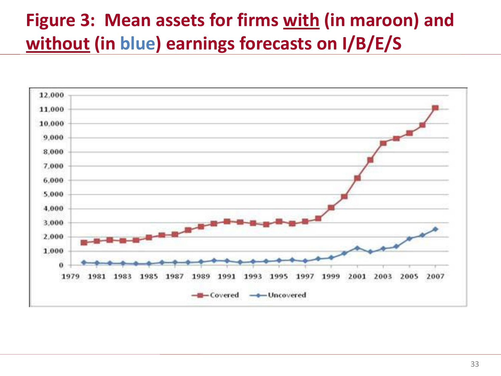# **Figure 3: Mean assets for firms with (in maroon) and without (in blue) earnings forecasts on I/B/E/S**